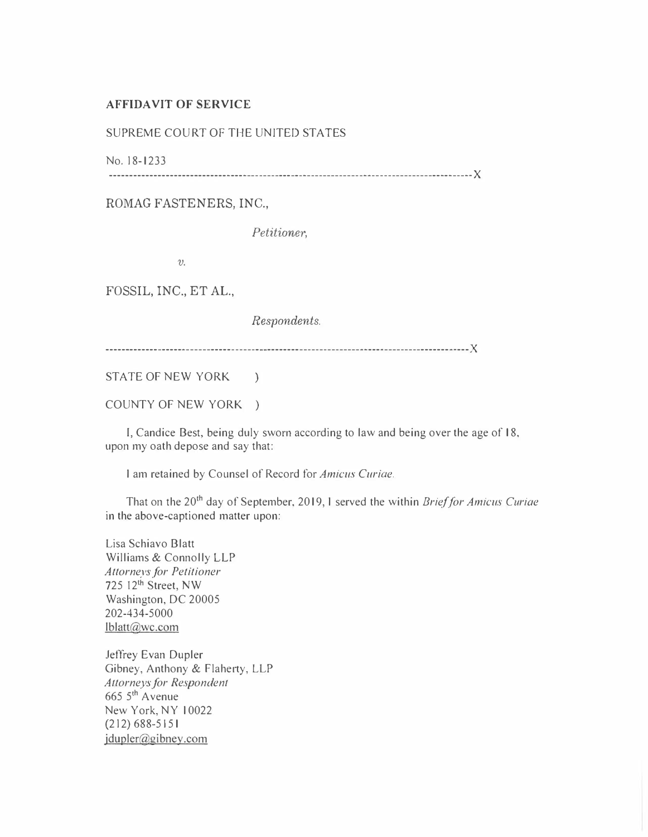## AFFIDAVIT OF SERVICE

## SUPREME COURT OF THE UNITED STATES

No. 18-1233

------------------------------------------------------------------------------------------ )(

## ROMAG FASTENERS, INC.,

Petitioner,

 $\upsilon$ 

FOSSIL, INC., ET AL.,

Respondents.

---------------------------------------------------------------- --------------------------)(

STATE OF NEW YORK )

COUNTY OF NEW YORK )

I, Candice Best, being duly sworn according to law and being over the age of 18, upon my oath depose and say that:

I am retained by Counsel of Record for Amicus Curiae.

That on the 20<sup>th</sup> day of September, 2019, I served the within Brief for Amicus Curiae in the above-captioned matter upon:

Lisa Schiavo Blatt Williams & Connolly LLP Attorneys for Petitioner 725 12<sup>th</sup> Street, NW Washington, DC 20005 202-434-5000 lblatt@wc.com

Jeffrey Evan Dupler Gibney, Anthony & Flaherty, LLP Attorneys for Respondent 665 5<sup>th</sup> Avenue New York, NY I 0022 (212)688-5151 jdupler@gibney.com